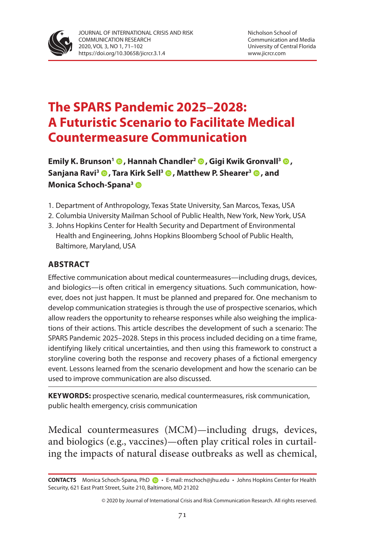

# **The SPARS Pandemic 2025–2028: A Futuristic Scenario to Facilitate Medical Countermeasure Communication**

**Emily K. Brunson<sup>1</sup> <b>.**[,](https://orcid.org/0000-0003-2514-146X) Hannah Chandler<sup>2</sup> **.**, Gigi Kwik Gronvall<sup>3</sup> ... **Sanjana Ravi3 [,](https://orcid.org/0000-0001-9769-6814) Tara Kirk Sell3 [,](https://orcid.org/0000-0002-8342-476X) Matthew P. Shearer3 [,](https://orcid.org/0000-0002-2031-2904) and Monica Schoch-Spana3**

- 1. Department of Anthropology, Texas State University, San Marcos, Texas, USA
- 2. Columbia University Mailman School of Public Health, New York, New York, USA
- 3. Johns Hopkins Center for Health Security and Department of Environmental Health and Engineering, Johns Hopkins Bloomberg School of Public Health, Baltimore, Maryland, USA

#### **ABSTRACT**

Effective communication about medical countermeasures—including drugs, devices, and biologics—is often critical in emergency situations. Such communication, however, does not just happen. It must be planned and prepared for. One mechanism to develop communication strategies is through the use of prospective scenarios, which allow readers the opportunity to rehearse responses while also weighing the implications of their actions. This article describes the development of such a scenario: The SPARS Pandemic 2025–2028. Steps in this process included deciding on a time frame, identifying likely critical uncertainties, and then using this framework to construct a storyline covering both the response and recovery phases of a fictional emergency event. Lessons learned from the scenario development and how the scenario can be used to improve communication are also discussed.

**KEYWORDS:** prospective scenario, medical countermeasures, risk communication, public health emergency, crisis communication

Medical countermeasures (MCM)—including drugs, devices, and biologics (e.g., vaccines)—often play critical roles in curtailing the impacts of natural disease outbreaks as well as chemical,

**CONTACTS** Monica Schoch-Spana, PhD• E-mail: mschoch@jhu.edu • Johns Hopkins Center for Health Security, 621 East Pratt Street, Suite 210, Baltimore, MD 21202

<sup>© 2020</sup> by Journal of International Crisis and Risk Communication Research. All rights reserved.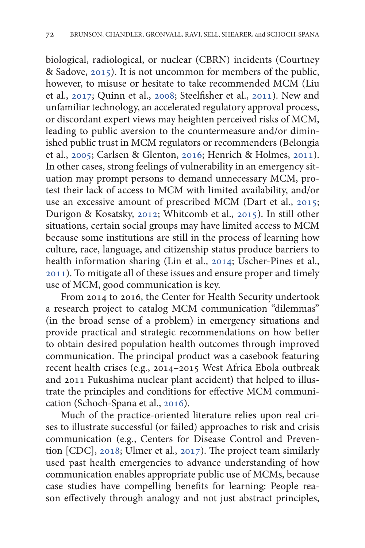biological, radiological, or nuclear (CBRN) incidents (Courtney & Sadove, [2015](#page-26-0)). It is not uncommon for members of the public, however, to misuse or hesitate to take recommended MCM (Liu et al., [2017;](#page-28-0) Quinn et al., [2008;](#page-29-0) Steelfisher et al., [2011](#page-30-0)). New and unfamiliar technology, an accelerated regulatory approval process, or discordant expert views may heighten perceived risks of MCM, leading to public aversion to the countermeasure and/or diminished public trust in MCM regulators or recommenders (Belongia et al., [2005](#page-25-0); Carlsen & Glenton, [2016](#page-25-0); Henrich & Holmes, [2011\)](#page-27-0). In other cases, strong feelings of vulnerability in an emergency situation may prompt persons to demand unnecessary MCM, protest their lack of access to MCM with limited availability, and/or use an excessive amount of prescribed MCM (Dart et al., [2015](#page-26-0); Durigon & Kosatsky, [2012;](#page-26-0) Whitcomb et al., [2015](#page-31-0)). In still other situations, certain social groups may have limited access to MCM because some institutions are still in the process of learning how culture, race, language, and citizenship status produce barriers to health information sharing (Lin et al., [2014](#page-28-0); Uscher-Pines et al., [2011](#page-30-0)). To mitigate all of these issues and ensure proper and timely use of MCM, good communication is key.

From 2014 to 2016, the Center for Health Security undertook a research project to catalog MCM communication "dilemmas" (in the broad sense of a problem) in emergency situations and provide practical and strategic recommendations on how better to obtain desired population health outcomes through improved communication. The principal product was a casebook featuring recent health crises (e.g., 2014–2015 West Africa Ebola outbreak and 2011 Fukushima nuclear plant accident) that helped to illustrate the principles and conditions for effective MCM communication (Schoch-Spana et al., [2016\)](#page-30-0).

Much of the practice-oriented literature relies upon real crises to illustrate successful (or failed) approaches to risk and crisis communication (e.g., Centers for Disease Control and Prevention [CDC], [2018;](#page-25-0) Ulmer et al., [2017](#page-30-0)). The project team similarly used past health emergencies to advance understanding of how communication enables appropriate public use of MCMs, because case studies have compelling benefits for learning: People reason effectively through analogy and not just abstract principles,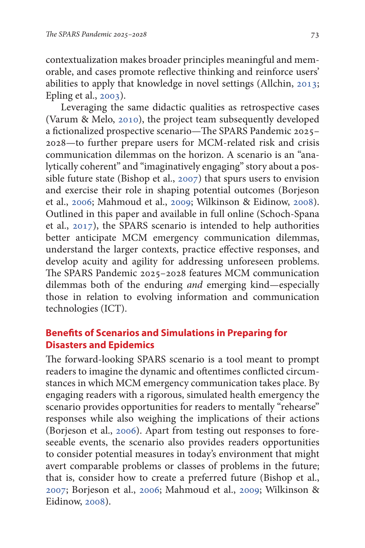contextualization makes broader principles meaningful and memorable, and cases promote reflective thinking and reinforce users' abilities to apply that knowledge in novel settings (Allchin, [2013](#page-25-0); Epling et al., [2003\)](#page-26-0).

Leveraging the same didactic qualities as retrospective cases (Varum & Melo, [2010\)](#page-31-0), the project team subsequently developed a fictionalized prospective scenario—The SPARS Pandemic 2025– 2028—to further prepare users for MCM-related risk and crisis communication dilemmas on the horizon. A scenario is an "analytically coherent" and "imaginatively engaging" story about a possible future state (Bishop et al., [2007](#page-25-0)) that spurs users to envision and exercise their role in shaping potential outcomes (Borjeson et al., [2006;](#page-25-0) Mahmoud et al., [2009;](#page-28-0) Wilkinson & Eidinow, [2008\)](#page-31-0). Outlined in this paper and available in full online (Schoch-Spana et al., [2017\)](#page-30-0), the SPARS scenario is intended to help authorities better anticipate MCM emergency communication dilemmas, understand the larger contexts, practice effective responses, and develop acuity and agility for addressing unforeseen problems. The SPARS Pandemic 2025–2028 features MCM communication dilemmas both of the enduring *and* emerging kind—especially those in relation to evolving information and communication technologies (ICT).

### **Benefits of Scenarios and Simulations in Preparing for Disasters and Epidemics**

The forward-looking SPARS scenario is a tool meant to prompt readers to imagine the dynamic and oftentimes conflicted circumstances in which MCM emergency communication takes place. By engaging readers with a rigorous, simulated health emergency the scenario provides opportunities for readers to mentally "rehearse" responses while also weighing the implications of their actions (Borjeson et al., [2006](#page-25-0)). Apart from testing out responses to foreseeable events, the scenario also provides readers opportunities to consider potential measures in today's environment that might avert comparable problems or classes of problems in the future; that is, consider how to create a preferred future (Bishop et al., [2007](#page-25-0); Borjeson et al., [2006;](#page-25-0) Mahmoud et al., [2009](#page-28-0); Wilkinson & Eidinow, [2008](#page-31-0)).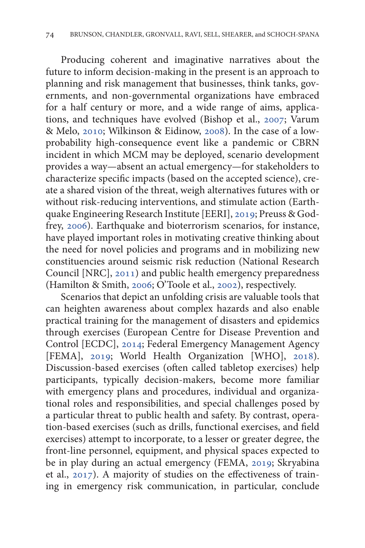Producing coherent and imaginative narratives about the future to inform decision-making in the present is an approach to planning and risk management that businesses, think tanks, governments, and non-governmental organizations have embraced for a half century or more, and a wide range of aims, applications, and techniques have evolved (Bishop et al., [2007](#page-25-0); Varum & Melo, [2010;](#page-31-0) Wilkinson & Eidinow, [2008\)](#page-31-0). In the case of a lowprobability high-consequence event like a pandemic or CBRN incident in which MCM may be deployed, scenario development provides a way—absent an actual emergency—for stakeholders to characterize specific impacts (based on the accepted science), create a shared vision of the threat, weigh alternatives futures with or without risk-reducing interventions, and stimulate action (Earthquake Engineering Research Institute [EERI], [2019;](#page-26-0) Preuss & Godfrey, [2006](#page-29-0)). Earthquake and bioterrorism scenarios, for instance, have played important roles in motivating creative thinking about the need for novel policies and programs and in mobilizing new constituencies around seismic risk reduction (National Research Council [NRC], [2011](#page-29-0)) and public health emergency preparedness (Hamilton & Smith, [2006;](#page-27-0) O'Toole et al., [2002\)](#page-27-0), respectively.

Scenarios that depict an unfolding crisis are valuable tools that can heighten awareness about complex hazards and also enable practical training for the management of disasters and epidemics through exercises (European Centre for Disease Prevention and Control [ECDC], [2014;](#page-26-0) Federal Emergency Management Agency [FEMA], [2019;](#page-26-0) World Health Organization [WHO], [2018\)](#page-31-0). Discussion-based exercises (often called tabletop exercises) help participants, typically decision-makers, become more familiar with emergency plans and procedures, individual and organizational roles and responsibilities, and special challenges posed by a particular threat to public health and safety. By contrast, operation-based exercises (such as drills, functional exercises, and field exercises) attempt to incorporate, to a lesser or greater degree, the front-line personnel, equipment, and physical spaces expected to be in play during an actual emergency (FEMA, [2019;](#page-26-0) Skryabina et al., [2017\)](#page-30-0). A majority of studies on the effectiveness of training in emergency risk communication, in particular, conclude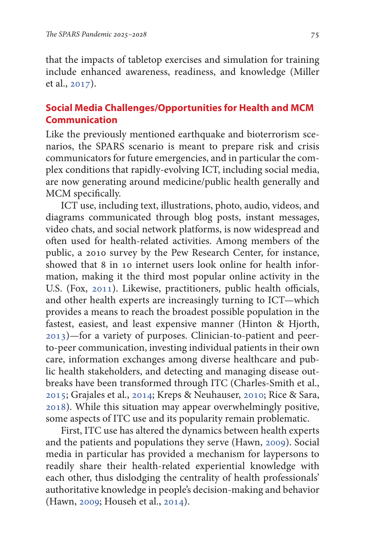that the impacts of tabletop exercises and simulation for training include enhanced awareness, readiness, and knowledge (Miller et al., [2017](#page-28-0)).

### **Social Media Challenges/Opportunities for Health and MCM Communication**

Like the previously mentioned earthquake and bioterrorism scenarios, the SPARS scenario is meant to prepare risk and crisis communicators for future emergencies, and in particular the complex conditions that rapidly-evolving ICT, including social media, are now generating around medicine/public health generally and MCM specifically.

ICT use, including text, illustrations, photo, audio, videos, and diagrams communicated through blog posts, instant messages, video chats, and social network platforms, is now widespread and often used for health-related activities. Among members of the public, a 2010 survey by the Pew Research Center, for instance, showed that 8 in 10 internet users look online for health information, making it the third most popular online activity in the U.S. (Fox, [2011\)](#page-27-0). Likewise, practitioners, public health officials, and other health experts are increasingly turning to ICT—which provides a means to reach the broadest possible population in the fastest, easiest, and least expensive manner (Hinton & Hjorth, [2013](#page-27-0))—for a variety of purposes. Clinician-to-patient and peerto-peer communication, investing individual patients in their own care, information exchanges among diverse healthcare and public health stakeholders, and detecting and managing disease outbreaks have been transformed through ITC (Charles-Smith et al., [2015](#page-25-0); Grajales et al., [2014](#page-27-0); Kreps & Neuhauser, [2010](#page-28-0); Rice & Sara, [2018](#page-29-0)). While this situation may appear overwhelmingly positive, some aspects of ITC use and its popularity remain problematic.

First, ITC use has altered the dynamics between health experts and the patients and populations they serve (Hawn, [2009](#page-27-0)). Social media in particular has provided a mechanism for laypersons to readily share their health-related experiential knowledge with each other, thus dislodging the centrality of health professionals' authoritative knowledge in people's decision-making and behavior (Hawn, [2009;](#page-27-0) Househ et al., [2014\)](#page-27-0).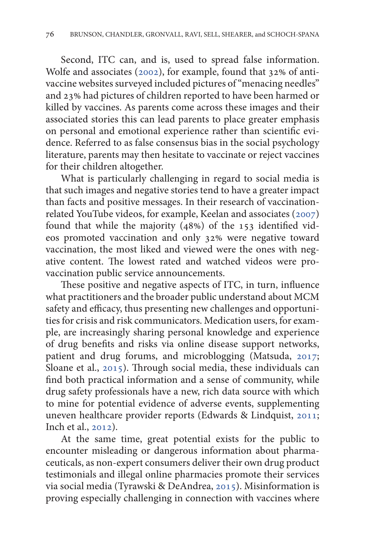Second, ITC can, and is, used to spread false information. Wolfe and associates ([2002\)](#page-31-0), for example, found that 32% of antivaccine websites surveyed included pictures of "menacing needles" and 23% had pictures of children reported to have been harmed or killed by vaccines. As parents come across these images and their associated stories this can lead parents to place greater emphasis on personal and emotional experience rather than scientific evidence. Referred to as false consensus bias in the social psychology literature, parents may then hesitate to vaccinate or reject vaccines for their children altogether.

What is particularly challenging in regard to social media is that such images and negative stories tend to have a greater impact than facts and positive messages. In their research of vaccinationrelated YouTube videos, for example, Keelan and associates ([2007\)](#page-28-0) found that while the majority  $(48%)$  of the 153 identified videos promoted vaccination and only 32% were negative toward vaccination, the most liked and viewed were the ones with negative content. The lowest rated and watched videos were provaccination public service announcements.

These positive and negative aspects of ITC, in turn, influence what practitioners and the broader public understand about MCM safety and efficacy, thus presenting new challenges and opportunities for crisis and risk communicators. Medication users, for example, are increasingly sharing personal knowledge and experience of drug benefits and risks via online disease support networks, patient and drug forums, and microblogging (Matsuda, [2017](#page-28-0); Sloane et al., [2015](#page-30-0)). Through social media, these individuals can find both practical information and a sense of community, while drug safety professionals have a new, rich data source with which to mine for potential evidence of adverse events, supplementing uneven healthcare provider reports (Edwards & Lindquist, [2011](#page-26-0); Inch et al., [2012](#page-27-0)).

At the same time, great potential exists for the public to encounter misleading or dangerous information about pharmaceuticals, as non-expert consumers deliver their own drug product testimonials and illegal online pharmacies promote their services via social media (Tyrawski & DeAndrea, [2015](#page-30-0)). Misinformation is proving especially challenging in connection with vaccines where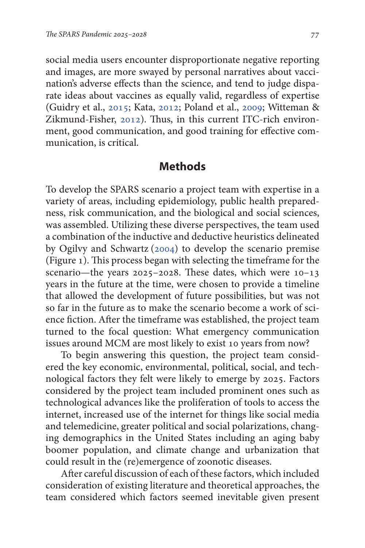social media users encounter disproportionate negative reporting and images, are more swayed by personal narratives about vaccination's adverse effects than the science, and tend to judge disparate ideas about vaccines as equally valid, regardless of expertise (Guidry et al., [2015](#page-27-0); Kata, [2012;](#page-27-0) Poland et al., [2009](#page-29-0); Witteman & Zikmund-Fisher, [2012](#page-31-0)). Thus, in this current ITC-rich environment, good communication, and good training for effective communication, is critical.

## **Methods**

To develop the SPARS scenario a project team with expertise in a variety of areas, including epidemiology, public health preparedness, risk communication, and the biological and social sciences, was assembled. Utilizing these diverse perspectives, the team used a combination of the inductive and deductive heuristics delineated by Ogilvy and Schwartz ([2004\)](#page-29-0) to develop the scenario premise (Figure 1). This process began with selecting the timeframe for the scenario—the years 2025–2028. These dates, which were 10–13 years in the future at the time, were chosen to provide a timeline that allowed the development of future possibilities, but was not so far in the future as to make the scenario become a work of science fiction. After the timeframe was established, the project team turned to the focal question: What emergency communication issues around MCM are most likely to exist 10 years from now?

To begin answering this question, the project team considered the key economic, environmental, political, social, and technological factors they felt were likely to emerge by 2025. Factors considered by the project team included prominent ones such as technological advances like the proliferation of tools to access the internet, increased use of the internet for things like social media and telemedicine, greater political and social polarizations, changing demographics in the United States including an aging baby boomer population, and climate change and urbanization that could result in the (re)emergence of zoonotic diseases.

After careful discussion of each of these factors, which included consideration of existing literature and theoretical approaches, the team considered which factors seemed inevitable given present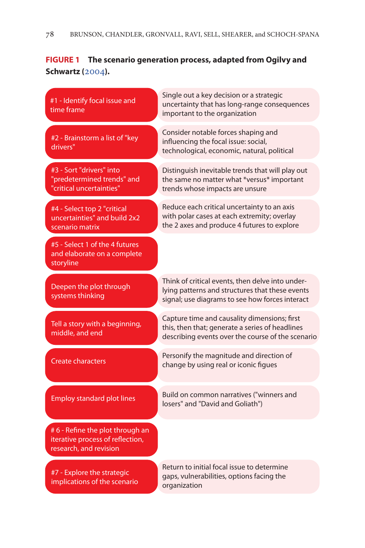#### **FIGURE 1 The scenario generation process, adapted from Ogilvy and Schwartz (**[2004](#page-29-0)**).**

#1 - Identify focal issue and time frame

#2 - Brainstorm a list of "key drivers"

#3 - Sort "drivers" into "predetermined trends" and "critical uncertainties"

Distinguish inevitable trends that will play out the same no matter what \*versus\* important trends whose impacts are unsure

Reduce each critical uncertainty to an axis with polar cases at each extremity; overlay the 2 axes and produce 4 futures to explore

Single out a key decision or a strategic uncertainty that has long-range consequences

Consider notable forces shaping and influencing the focal issue: social, technological, economic, natural, political

important to the organization

#4 - Select top 2 "critical uncertainties" and build 2x2 scenario matrix

#5 - Select 1 of the 4 futures and elaborate on a complete storyline

Deepen the plot through systems thinking

Tell a story with a beginning, middle, and end

Create characters

Think of critical events, then delve into underlying patterns and structures that these events signal; use diagrams to see how forces interact

Capture time and causality dimensions; first this, then that; generate a series of headlines describing events over the course of the scenario

Personify the magnitude and direction of change by using real or iconic figues

Employ standard plot lines

Build on common narratives ("winners and losers" and "David and Goliath")

#6 - Refine the plot through an iterative process of reflection, research, and revision

#7 - Explore the strategic implications of the scenario

Return to initial focal issue to determine gaps, vulnerabilities, options facing the organization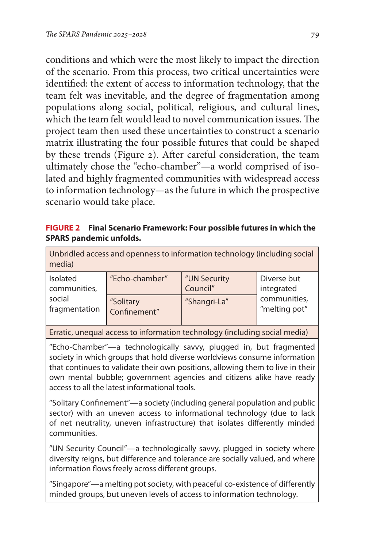conditions and which were the most likely to impact the direction of the scenario. From this process, two critical uncertainties were identified: the extent of access to information technology, that the team felt was inevitable, and the degree of fragmentation among populations along social, political, religious, and cultural lines, which the team felt would lead to novel communication issues. The project team then used these uncertainties to construct a scenario matrix illustrating the four possible futures that could be shaped by these trends (Figure 2). After careful consideration, the team ultimately chose the "echo-chamber"—a world comprised of isolated and highly fragmented communities with widespread access to information technology—as the future in which the prospective scenario would take place.

#### **FIGURE 2 Final Scenario Framework: Four possible futures in which the SPARS pandemic unfolds.**

| Unbridled access and openness to information technology (including social<br>media) |                           |                          |                                                            |
|-------------------------------------------------------------------------------------|---------------------------|--------------------------|------------------------------------------------------------|
| Isolated<br>communities,<br>social<br>fragmentation                                 | "Echo-chamber"            | "UN Security<br>Council" | Diverse but<br>integrated<br>communities,<br>"melting pot" |
|                                                                                     | "Solitary<br>Confinement" | "Shangri-La"             |                                                            |

Erratic, unequal access to information technology (including social media)

"Echo-Chamber"—a technologically savvy, plugged in, but fragmented society in which groups that hold diverse worldviews consume information that continues to validate their own positions, allowing them to live in their own mental bubble; government agencies and citizens alike have ready access to all the latest informational tools.

"Solitary Confinement"—a society (including general population and public sector) with an uneven access to informational technology (due to lack of net neutrality, uneven infrastructure) that isolates differently minded communities.

"UN Security Council"—a technologically savvy, plugged in society where diversity reigns, but difference and tolerance are socially valued, and where information flows freely across different groups.

"Singapore"—a melting pot society, with peaceful co-existence of differently minded groups, but uneven levels of access to information technology.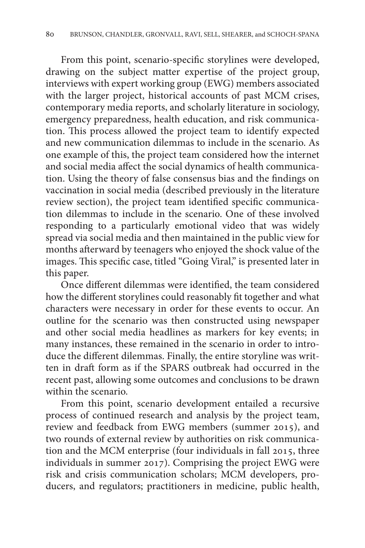From this point, scenario-specific storylines were developed, drawing on the subject matter expertise of the project group, interviews with expert working group (EWG) members associated with the larger project, historical accounts of past MCM crises, contemporary media reports, and scholarly literature in sociology, emergency preparedness, health education, and risk communication. This process allowed the project team to identify expected and new communication dilemmas to include in the scenario. As one example of this, the project team considered how the internet and social media affect the social dynamics of health communication. Using the theory of false consensus bias and the findings on vaccination in social media (described previously in the literature review section), the project team identified specific communication dilemmas to include in the scenario. One of these involved responding to a particularly emotional video that was widely spread via social media and then maintained in the public view for months afterward by teenagers who enjoyed the shock value of the images. This specific case, titled "Going Viral," is presented later in this paper.

Once different dilemmas were identified, the team considered how the different storylines could reasonably fit together and what characters were necessary in order for these events to occur. An outline for the scenario was then constructed using newspaper and other social media headlines as markers for key events; in many instances, these remained in the scenario in order to introduce the different dilemmas. Finally, the entire storyline was written in draft form as if the SPARS outbreak had occurred in the recent past, allowing some outcomes and conclusions to be drawn within the scenario.

From this point, scenario development entailed a recursive process of continued research and analysis by the project team, review and feedback from EWG members (summer 2015), and two rounds of external review by authorities on risk communication and the MCM enterprise (four individuals in fall 2015, three individuals in summer 2017). Comprising the project EWG were risk and crisis communication scholars; MCM developers, producers, and regulators; practitioners in medicine, public health,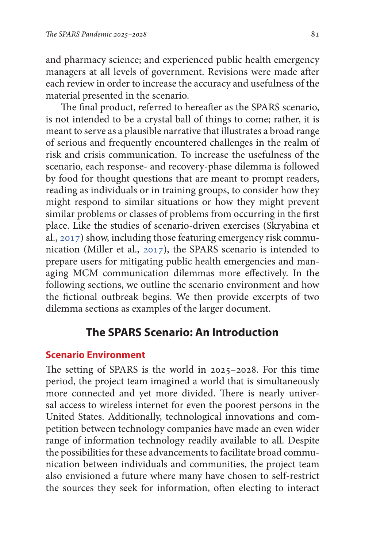and pharmacy science; and experienced public health emergency managers at all levels of government. Revisions were made after each review in order to increase the accuracy and usefulness of the material presented in the scenario.

The final product, referred to hereafter as the SPARS scenario, is not intended to be a crystal ball of things to come; rather, it is meant to serve as a plausible narrative that illustrates a broad range of serious and frequently encountered challenges in the realm of risk and crisis communication. To increase the usefulness of the scenario, each response- and recovery-phase dilemma is followed by food for thought questions that are meant to prompt readers, reading as individuals or in training groups, to consider how they might respond to similar situations or how they might prevent similar problems or classes of problems from occurring in the first place. Like the studies of scenario-driven exercises (Skryabina et al., [2017\)](#page-30-0) show, including those featuring emergency risk communication (Miller et al., [2017](#page-28-0)), the SPARS scenario is intended to prepare users for mitigating public health emergencies and managing MCM communication dilemmas more effectively. In the following sections, we outline the scenario environment and how the fictional outbreak begins. We then provide excerpts of two dilemma sections as examples of the larger document.

# **The SPARS Scenario: An Introduction**

### **Scenario Environment**

The setting of SPARS is the world in 2025–2028. For this time period, the project team imagined a world that is simultaneously more connected and yet more divided. There is nearly universal access to wireless internet for even the poorest persons in the United States. Additionally, technological innovations and competition between technology companies have made an even wider range of information technology readily available to all. Despite the possibilities for these advancements to facilitate broad communication between individuals and communities, the project team also envisioned a future where many have chosen to self-restrict the sources they seek for information, often electing to interact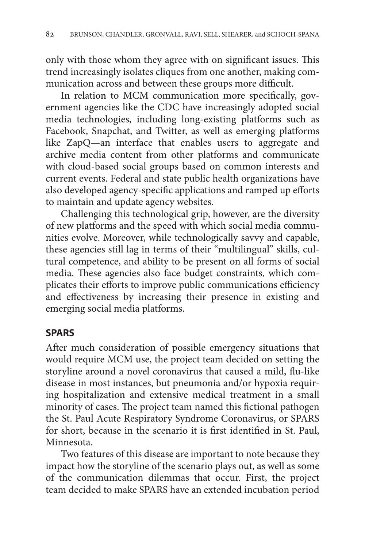only with those whom they agree with on significant issues. This trend increasingly isolates cliques from one another, making communication across and between these groups more difficult.

In relation to MCM communication more specifically, government agencies like the CDC have increasingly adopted social media technologies, including long-existing platforms such as Facebook, Snapchat, and Twitter, as well as emerging platforms like ZapQ—an interface that enables users to aggregate and archive media content from other platforms and communicate with cloud-based social groups based on common interests and current events. Federal and state public health organizations have also developed agency-specific applications and ramped up efforts to maintain and update agency websites.

Challenging this technological grip, however, are the diversity of new platforms and the speed with which social media communities evolve. Moreover, while technologically savvy and capable, these agencies still lag in terms of their "multilingual" skills, cultural competence, and ability to be present on all forms of social media. These agencies also face budget constraints, which complicates their efforts to improve public communications efficiency and effectiveness by increasing their presence in existing and emerging social media platforms.

# **SPARS**

After much consideration of possible emergency situations that would require MCM use, the project team decided on setting the storyline around a novel coronavirus that caused a mild, flu-like disease in most instances, but pneumonia and/or hypoxia requiring hospitalization and extensive medical treatment in a small minority of cases. The project team named this fictional pathogen the St. Paul Acute Respiratory Syndrome Coronavirus, or SPARS for short, because in the scenario it is first identified in St. Paul, Minnesota.

Two features of this disease are important to note because they impact how the storyline of the scenario plays out, as well as some of the communication dilemmas that occur. First, the project team decided to make SPARS have an extended incubation period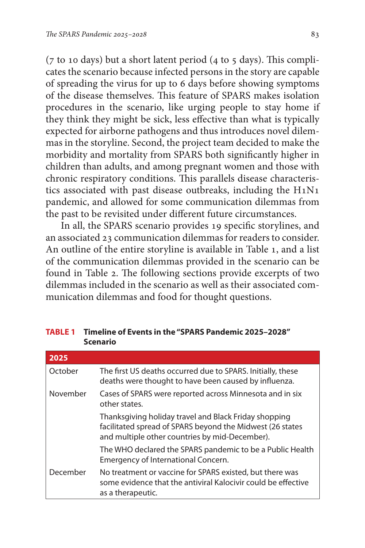( $7$  to 10 days) but a short latent period ( $4$  to  $5$  days). This complicates the scenario because infected persons in the story are capable of spreading the virus for up to 6 days before showing symptoms of the disease themselves. This feature of SPARS makes isolation procedures in the scenario, like urging people to stay home if they think they might be sick, less effective than what is typically expected for airborne pathogens and thus introduces novel dilemmas in the storyline. Second, the project team decided to make the morbidity and mortality from SPARS both significantly higher in children than adults, and among pregnant women and those with chronic respiratory conditions. This parallels disease characteristics associated with past disease outbreaks, including the H1N1 pandemic, and allowed for some communication dilemmas from the past to be revisited under different future circumstances.

In all, the SPARS scenario provides 19 specific storylines, and an associated 23 communication dilemmas for readers to consider. An outline of the entire storyline is available in Table 1, and a list of the communication dilemmas provided in the scenario can be found in Table 2. The following sections provide excerpts of two dilemmas included in the scenario as well as their associated communication dilemmas and food for thought questions.

| 2025     |                                                                                                                                                                      |
|----------|----------------------------------------------------------------------------------------------------------------------------------------------------------------------|
| October  | The first US deaths occurred due to SPARS. Initially, these<br>deaths were thought to have been caused by influenza.                                                 |
| November | Cases of SPARS were reported across Minnesota and in six<br>other states.                                                                                            |
|          | Thanksgiving holiday travel and Black Friday shopping<br>facilitated spread of SPARS beyond the Midwest (26 states<br>and multiple other countries by mid-December). |
|          | The WHO declared the SPARS pandemic to be a Public Health<br>Emergency of International Concern.                                                                     |
| December | No treatment or vaccine for SPARS existed, but there was<br>some evidence that the antiviral Kalocivir could be effective<br>as a therapeutic.                       |

**TABLE 1 Timeline of Events in the "SPARS Pandemic 2025–2028" Scenario**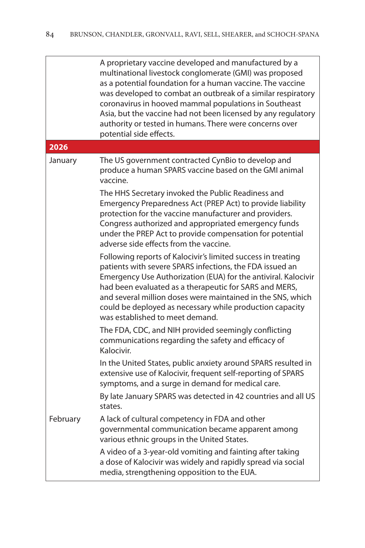|          | A proprietary vaccine developed and manufactured by a<br>multinational livestock conglomerate (GMI) was proposed<br>as a potential foundation for a human vaccine. The vaccine<br>was developed to combat an outbreak of a similar respiratory<br>coronavirus in hooved mammal populations in Southeast<br>Asia, but the vaccine had not been licensed by any regulatory<br>authority or tested in humans. There were concerns over<br>potential side effects. |
|----------|----------------------------------------------------------------------------------------------------------------------------------------------------------------------------------------------------------------------------------------------------------------------------------------------------------------------------------------------------------------------------------------------------------------------------------------------------------------|
| 2026     |                                                                                                                                                                                                                                                                                                                                                                                                                                                                |
| January  | The US government contracted CynBio to develop and<br>produce a human SPARS vaccine based on the GMI animal<br>vaccine.<br>The HHS Secretary invoked the Public Readiness and<br>Emergency Preparedness Act (PREP Act) to provide liability<br>protection for the vaccine manufacturer and providers.                                                                                                                                                          |
|          | Congress authorized and appropriated emergency funds<br>under the PREP Act to provide compensation for potential<br>adverse side effects from the vaccine.                                                                                                                                                                                                                                                                                                     |
|          | Following reports of Kalocivir's limited success in treating<br>patients with severe SPARS infections, the FDA issued an<br>Emergency Use Authorization (EUA) for the antiviral. Kalocivir<br>had been evaluated as a therapeutic for SARS and MERS,<br>and several million doses were maintained in the SNS, which<br>could be deployed as necessary while production capacity<br>was established to meet demand.                                             |
|          | The FDA, CDC, and NIH provided seemingly conflicting<br>communications regarding the safety and efficacy of<br>Kalocivir.                                                                                                                                                                                                                                                                                                                                      |
|          | In the United States, public anxiety around SPARS resulted in<br>extensive use of Kalocivir, frequent self-reporting of SPARS<br>symptoms, and a surge in demand for medical care.                                                                                                                                                                                                                                                                             |
|          | By late January SPARS was detected in 42 countries and all US<br>states.                                                                                                                                                                                                                                                                                                                                                                                       |
| February | A lack of cultural competency in FDA and other<br>governmental communication became apparent among<br>various ethnic groups in the United States.                                                                                                                                                                                                                                                                                                              |
|          | A video of a 3-year-old vomiting and fainting after taking<br>a dose of Kalocivir was widely and rapidly spread via social<br>media, strengthening opposition to the EUA.                                                                                                                                                                                                                                                                                      |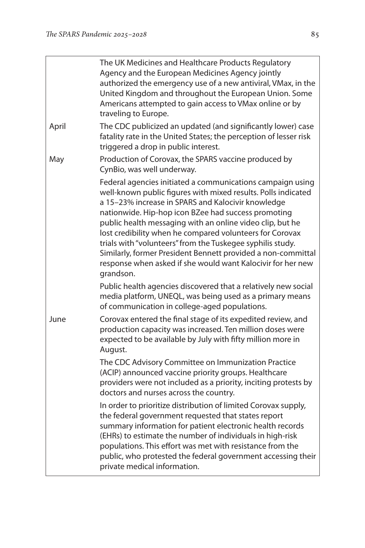|       | The UK Medicines and Healthcare Products Regulatory<br>Agency and the European Medicines Agency jointly<br>authorized the emergency use of a new antiviral, VMax, in the<br>United Kingdom and throughout the European Union. Some<br>Americans attempted to gain access to VMax online or by<br>traveling to Europe.                                                                                                                                                                                                                                                       |
|-------|-----------------------------------------------------------------------------------------------------------------------------------------------------------------------------------------------------------------------------------------------------------------------------------------------------------------------------------------------------------------------------------------------------------------------------------------------------------------------------------------------------------------------------------------------------------------------------|
| April | The CDC publicized an updated (and significantly lower) case<br>fatality rate in the United States; the perception of lesser risk<br>triggered a drop in public interest.                                                                                                                                                                                                                                                                                                                                                                                                   |
| May   | Production of Corovax, the SPARS vaccine produced by<br>CynBio, was well underway.                                                                                                                                                                                                                                                                                                                                                                                                                                                                                          |
|       | Federal agencies initiated a communications campaign using<br>well-known public figures with mixed results. Polls indicated<br>a 15-23% increase in SPARS and Kalocivir knowledge<br>nationwide. Hip-hop icon BZee had success promoting<br>public health messaging with an online video clip, but he<br>lost credibility when he compared volunteers for Corovax<br>trials with "volunteers" from the Tuskegee syphilis study.<br>Similarly, former President Bennett provided a non-committal<br>response when asked if she would want Kalocivir for her new<br>grandson. |
|       | Public health agencies discovered that a relatively new social<br>media platform, UNEQL, was being used as a primary means<br>of communication in college-aged populations.                                                                                                                                                                                                                                                                                                                                                                                                 |
| June  | Corovax entered the final stage of its expedited review, and<br>production capacity was increased. Ten million doses were<br>expected to be available by July with fifty million more in<br>August.                                                                                                                                                                                                                                                                                                                                                                         |
|       | The CDC Advisory Committee on Immunization Practice<br>(ACIP) announced vaccine priority groups. Healthcare<br>providers were not included as a priority, inciting protests by<br>doctors and nurses across the country.                                                                                                                                                                                                                                                                                                                                                    |
|       | In order to prioritize distribution of limited Corovax supply,<br>the federal government requested that states report<br>summary information for patient electronic health records<br>(EHRs) to estimate the number of individuals in high-risk<br>populations. This effort was met with resistance from the<br>public, who protested the federal government accessing their<br>private medical information.                                                                                                                                                                |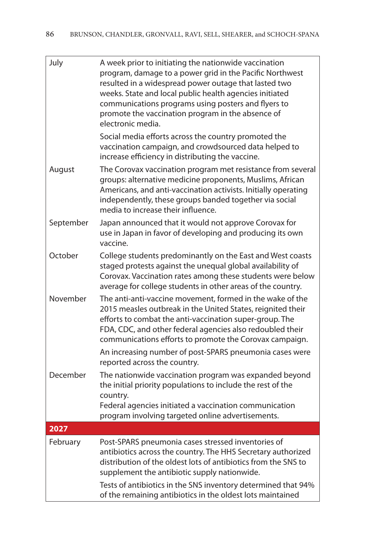| July      | A week prior to initiating the nationwide vaccination<br>program, damage to a power grid in the Pacific Northwest<br>resulted in a widespread power outage that lasted two<br>weeks. State and local public health agencies initiated<br>communications programs using posters and flyers to<br>promote the vaccination program in the absence of<br>electronic media. |
|-----------|------------------------------------------------------------------------------------------------------------------------------------------------------------------------------------------------------------------------------------------------------------------------------------------------------------------------------------------------------------------------|
|           | Social media efforts across the country promoted the<br>vaccination campaign, and crowdsourced data helped to<br>increase efficiency in distributing the vaccine.                                                                                                                                                                                                      |
| August    | The Corovax vaccination program met resistance from several<br>groups: alternative medicine proponents, Muslims, African<br>Americans, and anti-vaccination activists. Initially operating<br>independently, these groups banded together via social<br>media to increase their influence.                                                                             |
| September | Japan announced that it would not approve Corovax for<br>use in Japan in favor of developing and producing its own<br>vaccine.                                                                                                                                                                                                                                         |
| October   | College students predominantly on the East and West coasts<br>staged protests against the unequal global availability of<br>Corovax. Vaccination rates among these students were below<br>average for college students in other areas of the country.                                                                                                                  |
| November  | The anti-anti-vaccine movement, formed in the wake of the<br>2015 measles outbreak in the United States, reignited their<br>efforts to combat the anti-vaccination super-group. The<br>FDA, CDC, and other federal agencies also redoubled their<br>communications efforts to promote the Corovax campaign.                                                            |
|           | An increasing number of post-SPARS pneumonia cases were<br>reported across the country.                                                                                                                                                                                                                                                                                |
| December  | The nationwide vaccination program was expanded beyond<br>the initial priority populations to include the rest of the<br>country.                                                                                                                                                                                                                                      |
|           | Federal agencies initiated a vaccination communication<br>program involving targeted online advertisements.                                                                                                                                                                                                                                                            |
| 2027      |                                                                                                                                                                                                                                                                                                                                                                        |
| February  | Post-SPARS pneumonia cases stressed inventories of<br>antibiotics across the country. The HHS Secretary authorized<br>distribution of the oldest lots of antibiotics from the SNS to<br>supplement the antibiotic supply nationwide.                                                                                                                                   |
|           | Tests of antibiotics in the SNS inventory determined that 94%<br>of the remaining antibiotics in the oldest lots maintained                                                                                                                                                                                                                                            |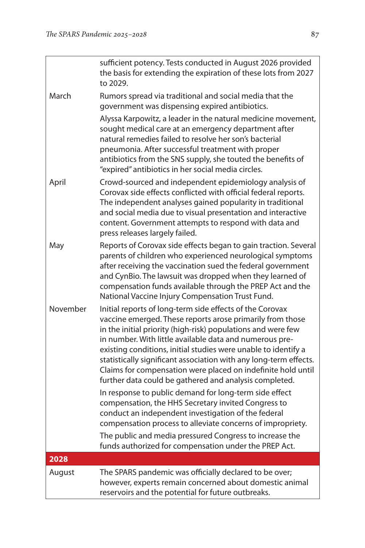|          | sufficient potency. Tests conducted in August 2026 provided<br>the basis for extending the expiration of these lots from 2027<br>to 2029.                                                                                                                                                                                                                                                                                                                                                                                                                                                                                          |
|----------|------------------------------------------------------------------------------------------------------------------------------------------------------------------------------------------------------------------------------------------------------------------------------------------------------------------------------------------------------------------------------------------------------------------------------------------------------------------------------------------------------------------------------------------------------------------------------------------------------------------------------------|
| March    | Rumors spread via traditional and social media that the<br>government was dispensing expired antibiotics.                                                                                                                                                                                                                                                                                                                                                                                                                                                                                                                          |
|          | Alyssa Karpowitz, a leader in the natural medicine movement,<br>sought medical care at an emergency department after<br>natural remedies failed to resolve her son's bacterial<br>pneumonia. After successful treatment with proper<br>antibiotics from the SNS supply, she touted the benefits of<br>"expired" antibiotics in her social media circles.                                                                                                                                                                                                                                                                           |
| April    | Crowd-sourced and independent epidemiology analysis of<br>Corovax side effects conflicted with official federal reports.<br>The independent analyses gained popularity in traditional<br>and social media due to visual presentation and interactive<br>content. Government attempts to respond with data and<br>press releases largely failed.                                                                                                                                                                                                                                                                                    |
| May      | Reports of Corovax side effects began to gain traction. Several<br>parents of children who experienced neurological symptoms<br>after receiving the vaccination sued the federal government<br>and CynBio. The lawsuit was dropped when they learned of<br>compensation funds available through the PREP Act and the<br>National Vaccine Injury Compensation Trust Fund.                                                                                                                                                                                                                                                           |
| November | Initial reports of long-term side effects of the Corovax<br>vaccine emerged. These reports arose primarily from those<br>in the initial priority (high-risk) populations and were few<br>in number. With little available data and numerous pre-<br>existing conditions, initial studies were unable to identify a<br>statistically significant association with any long-term effects.<br>Claims for compensation were placed on indefinite hold until<br>further data could be gathered and analysis completed.<br>In response to public demand for long-term side effect<br>compensation, the HHS Secretary invited Congress to |
|          | conduct an independent investigation of the federal<br>compensation process to alleviate concerns of impropriety.                                                                                                                                                                                                                                                                                                                                                                                                                                                                                                                  |
|          | The public and media pressured Congress to increase the<br>funds authorized for compensation under the PREP Act.                                                                                                                                                                                                                                                                                                                                                                                                                                                                                                                   |
| 2028     |                                                                                                                                                                                                                                                                                                                                                                                                                                                                                                                                                                                                                                    |
| August   | The SPARS pandemic was officially declared to be over;<br>however, experts remain concerned about domestic animal<br>reservoirs and the potential for future outbreaks.                                                                                                                                                                                                                                                                                                                                                                                                                                                            |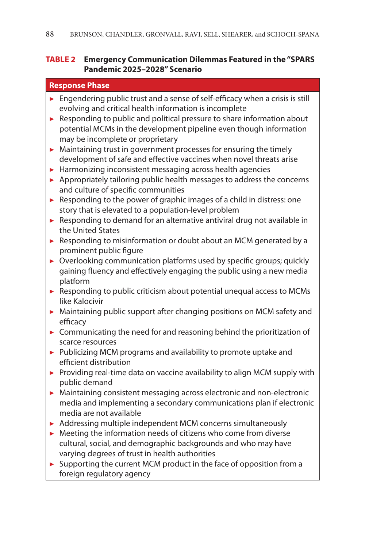#### **TABLE 2 Emergency Communication Dilemmas Featured in the "SPARS Pandemic 2025–2028" Scenario**

#### **Response Phase**

- ▶ Engendering public trust and a sense of self-efficacy when a crisis is still evolving and critical health information is incomplete
- $\blacktriangleright$  Responding to public and political pressure to share information about potential MCMs in the development pipeline even though information may be incomplete or proprietary
- $\blacktriangleright$  Maintaining trust in government processes for ensuring the timely development of safe and effective vaccines when novel threats arise
- $\blacktriangleright$  Harmonizing inconsistent messaging across health agencies
- $\blacktriangleright$  Appropriately tailoring public health messages to address the concerns and culture of specific communities
- ▶ Responding to the power of graphic images of a child in distress: one story that is elevated to a population-level problem
- ▶ Responding to demand for an alternative antiviral drug not available in the United States
- ▶ Responding to misinformation or doubt about an MCM generated by a prominent public figure
- ▶ Overlooking communication platforms used by specific groups; quickly gaining fluency and effectively engaging the public using a new media platform
- ▶ Responding to public criticism about potential unequal access to MCMs like Kalocivir
- ▶ Maintaining public support after changing positions on MCM safety and efficacy
- $\triangleright$  Communicating the need for and reasoning behind the prioritization of scarce resources
- ▶ Publicizing MCM programs and availability to promote uptake and efficient distribution
- ▶ Providing real-time data on vaccine availability to align MCM supply with public demand
- ▶ Maintaining consistent messaging across electronic and non-electronic media and implementing a secondary communications plan if electronic media are not available
- ▶ Addressing multiple independent MCM concerns simultaneously
- $\blacktriangleright$  Meeting the information needs of citizens who come from diverse cultural, social, and demographic backgrounds and who may have varying degrees of trust in health authorities
- ▶ Supporting the current MCM product in the face of opposition from a foreign regulatory agency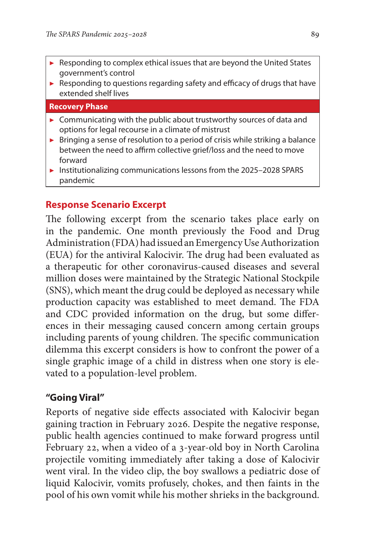- Responding to complex ethical issues that are beyond the United States government's control
- ▶ Responding to questions regarding safety and efficacy of drugs that have extended shelf lives

#### **Recovery Phase**

- ▶ Communicating with the public about trustworthy sources of data and options for legal recourse in a climate of mistrust
- $\triangleright$  Bringing a sense of resolution to a period of crisis while striking a balance between the need to affirm collective grief/loss and the need to move forward
- ▶ Institutionalizing communications lessons from the 2025–2028 SPARS pandemic

# **Response Scenario Excerpt**

The following excerpt from the scenario takes place early on in the pandemic. One month previously the Food and Drug Administration (FDA) had issued an Emergency Use Authorization (EUA) for the antiviral Kalocivir. The drug had been evaluated as a therapeutic for other coronavirus-caused diseases and several million doses were maintained by the Strategic National Stockpile (SNS), which meant the drug could be deployed as necessary while production capacity was established to meet demand. The FDA and CDC provided information on the drug, but some differences in their messaging caused concern among certain groups including parents of young children. The specific communication dilemma this excerpt considers is how to confront the power of a single graphic image of a child in distress when one story is elevated to a population-level problem.

### **"Going Viral"**

Reports of negative side effects associated with Kalocivir began gaining traction in February 2026. Despite the negative response, public health agencies continued to make forward progress until February 22, when a video of a 3-year-old boy in North Carolina projectile vomiting immediately after taking a dose of Kalocivir went viral. In the video clip, the boy swallows a pediatric dose of liquid Kalocivir, vomits profusely, chokes, and then faints in the pool of his own vomit while his mother shrieks in the background.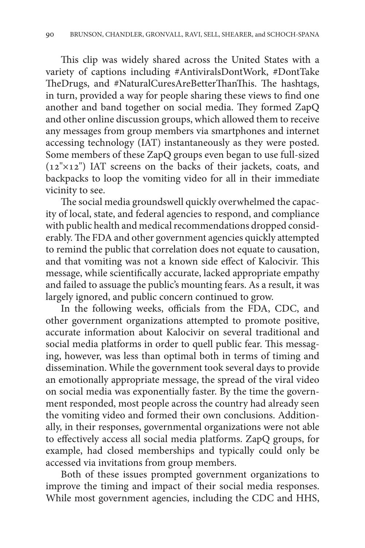This clip was widely shared across the United States with a variety of captions including #AntiviralsDontWork, #DontTake TheDrugs, and #NaturalCuresAreBetterThanThis. The hashtags, in turn, provided a way for people sharing these views to find one another and band together on social media. They formed ZapQ and other online discussion groups, which allowed them to receive any messages from group members via smartphones and internet accessing technology (IAT) instantaneously as they were posted. Some members of these ZapQ groups even began to use full-sized (12"×12") IAT screens on the backs of their jackets, coats, and backpacks to loop the vomiting video for all in their immediate vicinity to see.

The social media groundswell quickly overwhelmed the capacity of local, state, and federal agencies to respond, and compliance with public health and medical recommendations dropped considerably. The FDA and other government agencies quickly attempted to remind the public that correlation does not equate to causation, and that vomiting was not a known side effect of Kalocivir. This message, while scientifically accurate, lacked appropriate empathy and failed to assuage the public's mounting fears. As a result, it was largely ignored, and public concern continued to grow.

In the following weeks, officials from the FDA, CDC, and other government organizations attempted to promote positive, accurate information about Kalocivir on several traditional and social media platforms in order to quell public fear. This messaging, however, was less than optimal both in terms of timing and dissemination. While the government took several days to provide an emotionally appropriate message, the spread of the viral video on social media was exponentially faster. By the time the government responded, most people across the country had already seen the vomiting video and formed their own conclusions. Additionally, in their responses, governmental organizations were not able to effectively access all social media platforms. ZapQ groups, for example, had closed memberships and typically could only be accessed via invitations from group members.

Both of these issues prompted government organizations to improve the timing and impact of their social media responses. While most government agencies, including the CDC and HHS,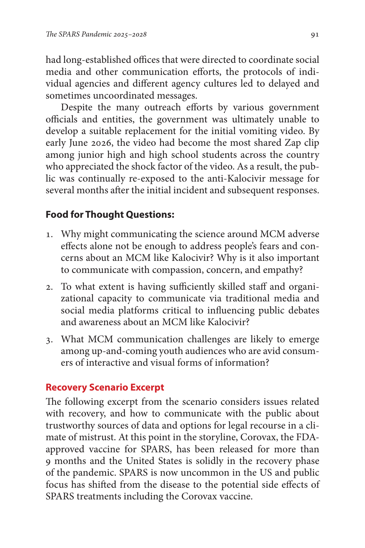had long-established offices that were directed to coordinate social media and other communication efforts, the protocols of individual agencies and different agency cultures led to delayed and sometimes uncoordinated messages.

Despite the many outreach efforts by various government officials and entities, the government was ultimately unable to develop a suitable replacement for the initial vomiting video. By early June 2026, the video had become the most shared Zap clip among junior high and high school students across the country who appreciated the shock factor of the video. As a result, the public was continually re-exposed to the anti-Kalocivir message for several months after the initial incident and subsequent responses.

# **Food for Thought Questions:**

- 1. Why might communicating the science around MCM adverse effects alone not be enough to address people's fears and concerns about an MCM like Kalocivir? Why is it also important to communicate with compassion, concern, and empathy?
- 2. To what extent is having sufficiently skilled staff and organizational capacity to communicate via traditional media and social media platforms critical to influencing public debates and awareness about an MCM like Kalocivir?
- 3. What MCM communication challenges are likely to emerge among up-and-coming youth audiences who are avid consumers of interactive and visual forms of information?

# **Recovery Scenario Excerpt**

The following excerpt from the scenario considers issues related with recovery, and how to communicate with the public about trustworthy sources of data and options for legal recourse in a climate of mistrust. At this point in the storyline, Corovax, the FDAapproved vaccine for SPARS, has been released for more than 9 months and the United States is solidly in the recovery phase of the pandemic. SPARS is now uncommon in the US and public focus has shifted from the disease to the potential side effects of SPARS treatments including the Corovax vaccine.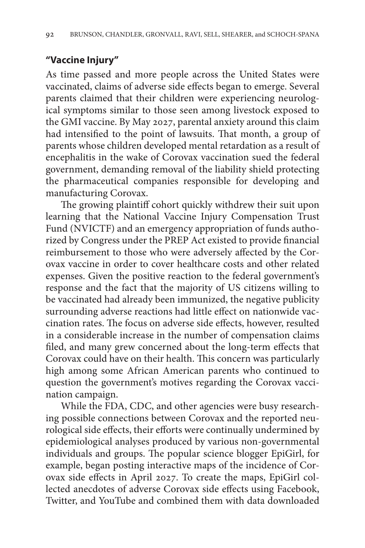# **"Vaccine Injury"**

As time passed and more people across the United States were vaccinated, claims of adverse side effects began to emerge. Several parents claimed that their children were experiencing neurological symptoms similar to those seen among livestock exposed to the GMI vaccine. By May 2027, parental anxiety around this claim had intensified to the point of lawsuits. That month, a group of parents whose children developed mental retardation as a result of encephalitis in the wake of Corovax vaccination sued the federal government, demanding removal of the liability shield protecting the pharmaceutical companies responsible for developing and manufacturing Corovax.

The growing plaintiff cohort quickly withdrew their suit upon learning that the National Vaccine Injury Compensation Trust Fund (NVICTF) and an emergency appropriation of funds authorized by Congress under the PREP Act existed to provide financial reimbursement to those who were adversely affected by the Corovax vaccine in order to cover healthcare costs and other related expenses. Given the positive reaction to the federal government's response and the fact that the majority of US citizens willing to be vaccinated had already been immunized, the negative publicity surrounding adverse reactions had little effect on nationwide vaccination rates. The focus on adverse side effects, however, resulted in a considerable increase in the number of compensation claims filed, and many grew concerned about the long-term effects that Corovax could have on their health. This concern was particularly high among some African American parents who continued to question the government's motives regarding the Corovax vaccination campaign.

While the FDA, CDC, and other agencies were busy researching possible connections between Corovax and the reported neurological side effects, their efforts were continually undermined by epidemiological analyses produced by various non-governmental individuals and groups. The popular science blogger EpiGirl, for example, began posting interactive maps of the incidence of Corovax side effects in April 2027. To create the maps, EpiGirl collected anecdotes of adverse Corovax side effects using Facebook, Twitter, and YouTube and combined them with data downloaded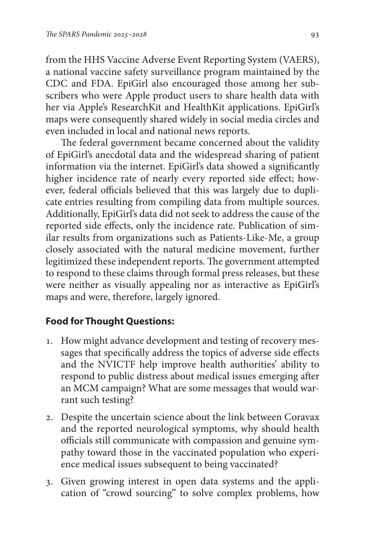from the HHS Vaccine Adverse Event Reporting System (VAERS), a national vaccine safety surveillance program maintained by the CDC and FDA. EpiGirl also encouraged those among her subscribers who were Apple product users to share health data with her via Apple's ResearchKit and HealthKit applications. EpiGirl's maps were consequently shared widely in social media circles and even included in local and national news reports.

The federal government became concerned about the validity of EpiGirl's anecdotal data and the widespread sharing of patient information via the internet. EpiGirl's data showed a significantly higher incidence rate of nearly every reported side effect; however, federal officials believed that this was largely due to duplicate entries resulting from compiling data from multiple sources. Additionally, EpiGirl's data did not seek to address the cause of the reported side effects, only the incidence rate. Publication of similar results from organizations such as Patients-Like-Me, a group closely associated with the natural medicine movement, further legitimized these independent reports. The government attempted to respond to these claims through formal press releases, but these were neither as visually appealing nor as interactive as EpiGirl's maps and were, therefore, largely ignored.

### **Food for Thought Questions:**

- 1. How might advance development and testing of recovery messages that specifically address the topics of adverse side effects and the NVICTF help improve health authorities' ability to respond to public distress about medical issues emerging after an MCM campaign? What are some messages that would warrant such testing?
- 2. Despite the uncertain science about the link between Coravax and the reported neurological symptoms, why should health officials still communicate with compassion and genuine sympathy toward those in the vaccinated population who experience medical issues subsequent to being vaccinated?
- 3. Given growing interest in open data systems and the application of "crowd sourcing" to solve complex problems, how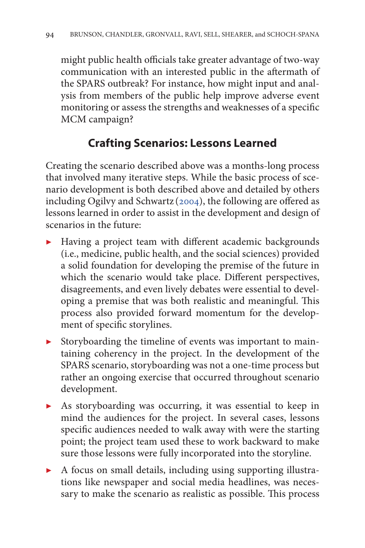might public health officials take greater advantage of two-way communication with an interested public in the aftermath of the SPARS outbreak? For instance, how might input and analysis from members of the public help improve adverse event monitoring or assess the strengths and weaknesses of a specific MCM campaign?

# **Crafting Scenarios: Lessons Learned**

Creating the scenario described above was a months-long process that involved many iterative steps. While the basic process of scenario development is both described above and detailed by others including Ogilvy and Schwartz ([2004\)](#page-29-0), the following are offered as lessons learned in order to assist in the development and design of scenarios in the future:

- ▶ Having a project team with different academic backgrounds (i.e., medicine, public health, and the social sciences) provided a solid foundation for developing the premise of the future in which the scenario would take place. Different perspectives, disagreements, and even lively debates were essential to developing a premise that was both realistic and meaningful. This process also provided forward momentum for the development of specific storylines.
- Storyboarding the timeline of events was important to maintaining coherency in the project. In the development of the SPARS scenario, storyboarding was not a one-time process but rather an ongoing exercise that occurred throughout scenario development.
- ▶ As storyboarding was occurring, it was essential to keep in mind the audiences for the project. In several cases, lessons specific audiences needed to walk away with were the starting point; the project team used these to work backward to make sure those lessons were fully incorporated into the storyline.
- ▶ A focus on small details, including using supporting illustrations like newspaper and social media headlines, was necessary to make the scenario as realistic as possible. This process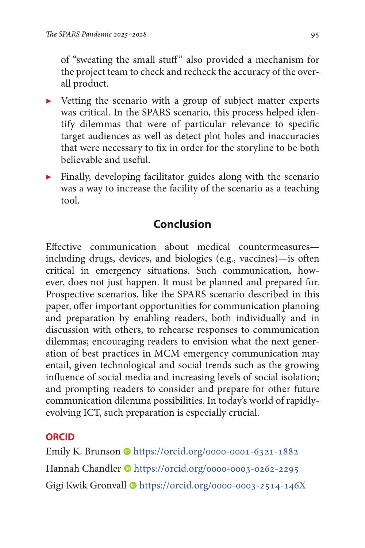of "sweating the small stuff" also provided a mechanism for the project team to check and recheck the accuracy of the overall product.

- ▶ Vetting the scenario with a group of subject matter experts was critical. In the SPARS scenario, this process helped identify dilemmas that were of particular relevance to specific target audiences as well as detect plot holes and inaccuracies that were necessary to fix in order for the storyline to be both believable and useful.
- ▶ Finally, developing facilitator guides along with the scenario was a way to increase the facility of the scenario as a teaching tool.

# **Conclusion**

Effective communication about medical countermeasures including drugs, devices, and biologics (e.g., vaccines)—is often critical in emergency situations. Such communication, however, does not just happen. It must be planned and prepared for. Prospective scenarios, like the SPARS scenario described in this paper, offer important opportunities for communication planning and preparation by enabling readers, both individually and in discussion with others, to rehearse responses to communication dilemmas; encouraging readers to envision what the next generation of best practices in MCM emergency communication may entail, given technological and social trends such as the growing influence of social media and increasing levels of social isolation; and prompting readers to consider and prepare for other future communication dilemma possibilities. In today's world of rapidlyevolving ICT, such preparation is especially crucial.

# **ORCID**

Emily K. Brunson Chttps://orcid.org/0000-0001-6321-1882 Hannah Chandler Inttps://orcid.org/0000-0003-0262-2295 Gigi Kwik Gronvall  $\bullet$ <https://orcid.org/0000-0003-2514-146X>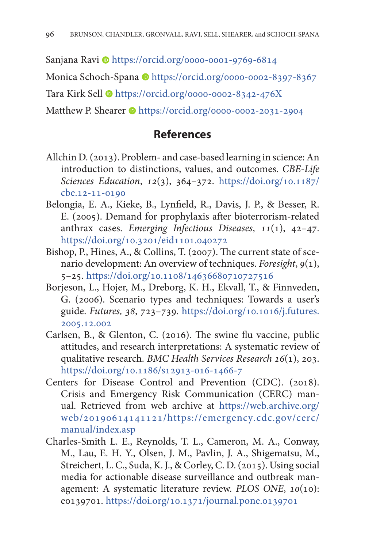<span id="page-25-0"></span>Sanjana Ravi Dhttps://orcid.org/0000-0001-9769-6814

Monica Schoch-Spana Dhttps://orcid.org/0000-0002-8397-8367

Tara Kirk Sell  $\bullet$ <https://orcid.org/0000-0002-8342-476X>

Matthew P. Shearer  $\bullet$ <https://orcid.org/0000-0002-2031-2904>

# **References**

- Allchin D. (2013). Problem- and case-based learning in science: An introduction to distinctions, values, and outcomes. *CBE-Life Sciences Education*, *12*(3), 364–372. [https://doi.org/10.1187/](https://doi.org/10.1187/cbe.12-11-0190) [cbe.12-11-0190](https://doi.org/10.1187/cbe.12-11-0190)
- Belongia, E. A., Kieke, B., Lynfield, R., Davis, J. P., & Besser, R. E. (2005). Demand for prophylaxis after bioterrorism-related anthrax cases. *Emerging Infectious Diseases*, *11*(1), 42–47. <https://doi.org/10.3201/eid1101.040272>
- Bishop, P., Hines, A., & Collins, T. (2007). The current state of scenario development: An overview of techniques. *Foresight*, *9*(1), 5–25.<https://doi.org/10.1108/14636680710727516>
- Borjeson, L., Hojer, M., Dreborg, K. H., Ekvall, T., & Finnveden, G. (2006). Scenario types and techniques: Towards a user's guide. *Futures, 38*, 723–739. [https://doi.org/10.1016/j.futures.](https://doi.org/10.1016/j.futures.2005.12.002) [2005.12.002](https://doi.org/10.1016/j.futures.2005.12.002)
- Carlsen, B., & Glenton, C. (2016). The swine flu vaccine, public attitudes, and research interpretations: A systematic review of qualitative research. *BMC Health Services Research 16*(1), 203. <https://doi.org/10.1186/s12913-016-1466-7>
- Centers for Disease Control and Prevention (CDC). (2018). Crisis and Emergency Risk Communication (CERC) manual. Retrieved from web archive at [https://web.archive.org/](https://web.archive.org/web/20190614141121/https://emergency.cdc.gov/cerc/manual/index.asp) [web/20190614141121/https://emergency.cdc.gov/cerc/](https://web.archive.org/web/20190614141121/https://emergency.cdc.gov/cerc/manual/index.asp) [manual/index.asp](https://web.archive.org/web/20190614141121/https://emergency.cdc.gov/cerc/manual/index.asp)
- Charles-Smith L. E., Reynolds, T. L., Cameron, M. A., Conway, M., Lau, E. H. Y., Olsen, J. M., Pavlin, J. A., Shigematsu, M., Streichert, L. C., Suda, K. J., & Corley, C. D. (2015). Using social media for actionable disease surveillance and outbreak management: A systematic literature review. *PLOS ONE*, *10*(10): e0139701.<https://doi.org/10.1371/journal.pone.0139701>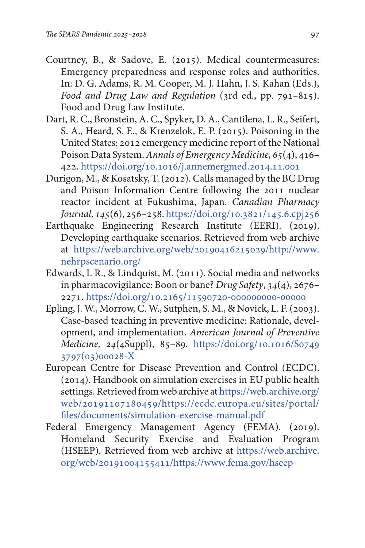- <span id="page-26-0"></span>Courtney, B., & Sadove, E. (2015). Medical countermeasures: Emergency preparedness and response roles and authorities. In: D. G. Adams, R. M. Cooper, M. J. Hahn, J. S. Kahan (Eds.), *Food and Drug Law and Regulation* (3rd ed., pp. 791–815). Food and Drug Law Institute.
- Dart, R. C., Bronstein, A. C., Spyker, D. A., Cantilena, L. R., Seifert, S. A., Heard, S. E., & Krenzelok, E. P. (2015). Poisoning in the United States: 2012 emergency medicine report of the National Poison Data System. *Annals of Emergency Medicine, 65*(4), 416– 422. <https://doi.org/10.1016/j.annemergmed.2014.11.001>
- Durigon, M., & Kosatsky, T. (2012). Calls managed by the BC Drug and Poison Information Centre following the 2011 nuclear reactor incident at Fukushima, Japan. *Canadian Pharmacy Journal, 145*(6), 256–258.<https://doi.org/10.3821/145.6.cpj256>
- Earthquake Engineering Research Institute (EERI). (2019). Developing earthquake scenarios. Retrieved from web archive at [https://web.archive.org/web/20190416215029/http://www.](https://web.archive.org/web/20190416215029/http://www.nehrpscenario.org/) [nehrpscenario.org/](https://web.archive.org/web/20190416215029/http://www.nehrpscenario.org/)
- Edwards, I. R., & Lindquist, M. (2011). Social media and networks in pharmacovigilance: Boon or bane? *Drug Safety*, *34*(4), 2676– 2271. <https://doi.org/10.2165/11590720-000000000-00000>
- Epling, J. W., Morrow, C. W., Sutphen, S. M., & Novick, L. F. (2003). Case-based teaching in preventive medicine: Rationale, development, and implementation. *American Journal of Preventive Medicine, 24*(4Suppl), 85–89. [https://doi.org/10.1016/S0749](https://doi.org/10.1016/S0749-3797(03)00028-X) [3797\(03\)00028-X](https://doi.org/10.1016/S0749-3797(03)00028-X)
- European Centre for Disease Prevention and Control (ECDC). (2014). Handbook on simulation exercises in EU public health settings. Retrieved from web archive at [https://web.archive.org/](https://web.archive.org/web/20191107180459/https://ecdc.europa.eu/sites/portal/files/documents/simulation-exercise-manual.pdf) [web/20191107180459/https://ecdc.europa.eu/sites/portal/](https://web.archive.org/web/20191107180459/https://ecdc.europa.eu/sites/portal/files/documents/simulation-exercise-manual.pdf) [files/documents/simulation-exercise-manual.pdf](https://web.archive.org/web/20191107180459/https://ecdc.europa.eu/sites/portal/files/documents/simulation-exercise-manual.pdf)
- Federal Emergency Management Agency (FEMA). (2019). Homeland Security Exercise and Evaluation Program (HSEEP). Retrieved from web archive at [https://web.archive.](https://web.archive.org/web/20191004155411/https://www.fema.gov/hseep) [org/web/20191004155411/https://www.fema.gov/hseep](https://web.archive.org/web/20191004155411/https://www.fema.gov/hseep)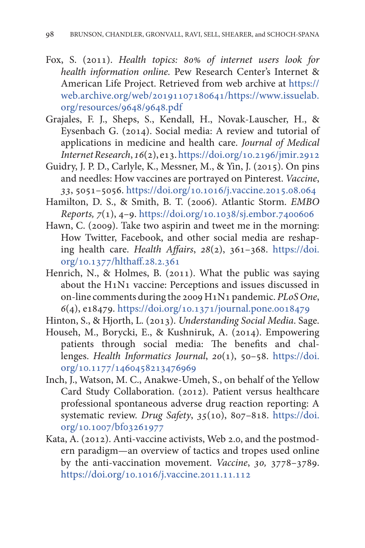- <span id="page-27-0"></span>Fox, S. (2011). *Health topics: 80% of internet users look for health information online.* Pew Research Center's Internet & American Life Project. Retrieved from web archive at [https://](https://web.archive.org/web/20191107180641/https://www.issuelab.org/resources/9648/9648.pdf) [web.archive.org/web/20191107180641/https://www.issuelab.](https://web.archive.org/web/20191107180641/https://www.issuelab.org/resources/9648/9648.pdf) [org/resources/9648/9648.pdf](https://web.archive.org/web/20191107180641/https://www.issuelab.org/resources/9648/9648.pdf)
- Grajales, F. J., Sheps, S., Kendall, H., Novak-Lauscher, H., & Eysenbach G. (2014). Social media: A review and tutorial of applications in medicine and health care. *Journal of Medical Internet Research*, *16*(2), e13.<https://doi.org/10.2196/jmir.2912>
- Guidry, J. P. D., Carlyle, K., Messner, M., & Yin, J. (2015). On pins and needles: How vaccines are portrayed on Pinterest. *Vaccine*, *33*, 5051–5056.<https://doi.org/10.1016/j.vaccine.2015.08.064>
- Hamilton, D. S., & Smith, B. T. (2006). Atlantic Storm. *EMBO Reports, 7*(1), 4–9. <https://doi.org/10.1038/sj.embor.7400606>
- Hawn, C. (2009). Take two aspirin and tweet me in the morning: How Twitter, Facebook, and other social media are reshaping health care. *Health Affairs*, *28*(2), 361–368. [https://doi.](https://doi.org/10.1377/hlthaff.28.2.361) [org/10.1377/hlthaff.28.2.361](https://doi.org/10.1377/hlthaff.28.2.361)
- Henrich, N., & Holmes, B. (2011). What the public was saying about the H1N1 vaccine: Perceptions and issues discussed in on-line comments during the 2009 H1N1 pandemic. *PLoS One*, *6*(4), e18479.<https://doi.org/10.1371/journal.pone.0018479>
- Hinton, S., & Hjorth, L. (2013). *Understanding Social Media*. Sage.
- Househ, M., Borycki, E., & Kushniruk, A. (2014). Empowering patients through social media: The benefits and challenges. *Health Informatics Journal*, *20*(1), 50–58. [https://doi.](https://doi.org/10.1177/1460458213476969) [org/10.1177/1460458213476969](https://doi.org/10.1177/1460458213476969)
- Inch, J., Watson, M. C., Anakwe-Umeh, S., on behalf of the Yellow Card Study Collaboration. (2012). Patient versus healthcare professional spontaneous adverse drug reaction reporting: A systematic review. *Drug Safety*, *35*(10), 807–818. [https://doi.](https://doi.org/10.1007/bf03261977) [org/10.1007/bf03261977](https://doi.org/10.1007/bf03261977)
- Kata, A. (2012). Anti-vaccine activists, Web 2.0, and the postmodern paradigm—an overview of tactics and tropes used online by the anti-vaccination movement. *Vaccine*, *30,* 3778–3789. <https://doi.org/10.1016/j.vaccine.2011.11.112>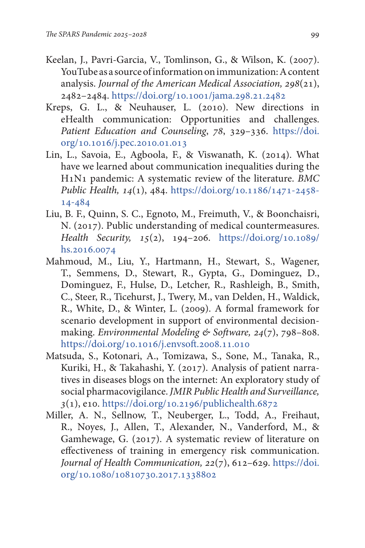- <span id="page-28-0"></span>Keelan, J., Pavri-Garcia, V., Tomlinson, G., & Wilson, K. (2007). YouTube as a source of information on immunization: A content analysis. *Journal of the American Medical Association, 298*(21), 2482–2484.<https://doi.org/10.1001/jama.298.21.2482>
- Kreps, G. L., & Neuhauser, L. (2010). New directions in eHealth communication: Opportunities and challenges. *Patient Education and Counseling*, *78*, 329–336. [https://doi.](https://doi.org/10.1016/j.pec.2010.01.013) [org/10.1016/j.pec.2010.01.013](https://doi.org/10.1016/j.pec.2010.01.013)
- Lin, L., Savoia, E., Agboola, F., & Viswanath, K. (2014). What have we learned about communication inequalities during the H1N1 pandemic: A systematic review of the literature. *BMC Public Health, 14*(1), 484. [https://doi.org/10.1186/1471-2458-](https://doi.org/10.1186/1471-2458-14-484) [14-484](https://doi.org/10.1186/1471-2458-14-484)
- Liu, B. F., Quinn, S. C., Egnoto, M., Freimuth, V., & Boonchaisri, N. (2017). Public understanding of medical countermeasures. *Health Security, 15*(2), 194–206. [https://doi.org/10.1089/](https://doi.org/10.1089/hs.2016.0074) [hs.2016.0074](https://doi.org/10.1089/hs.2016.0074)
- Mahmoud, M., Liu, Y., Hartmann, H., Stewart, S., Wagener, T., Semmens, D., Stewart, R., Gypta, G., Dominguez, D., Dominguez, F., Hulse, D., Letcher, R., Rashleigh, B., Smith, C., Steer, R., Ticehurst, J., Twery, M., van Delden, H., Waldick, R., White, D., & Winter, L. (2009). A formal framework for scenario development in support of environmental decisionmaking. *Environmental Modeling & Software, 24*(7), 798–808. <https://doi.org/10.1016/j.envsoft.2008.11.010>
- Matsuda, S., Kotonari, A., Tomizawa, S., Sone, M., Tanaka, R., Kuriki, H., & Takahashi, Y. (2017). Analysis of patient narratives in diseases blogs on the internet: An exploratory study of social pharmacovigilance. *JMIR Public Health and Surveillance, 3*(1), e10. <https://doi.org/10.2196/publichealth.6872>
- Miller, A. N., Sellnow, T., Neuberger, L., Todd, A., Freihaut, R., Noyes, J., Allen, T., Alexander, N., Vanderford, M., & Gamhewage, G. (2017). A systematic review of literature on effectiveness of training in emergency risk communication. *Journal of Health Communication, 22*(7), 612–629. [https://doi.](https://doi.org/10.1080/10810730.2017.1338802) [org/10.1080/10810730.2017.1338802](https://doi.org/10.1080/10810730.2017.1338802)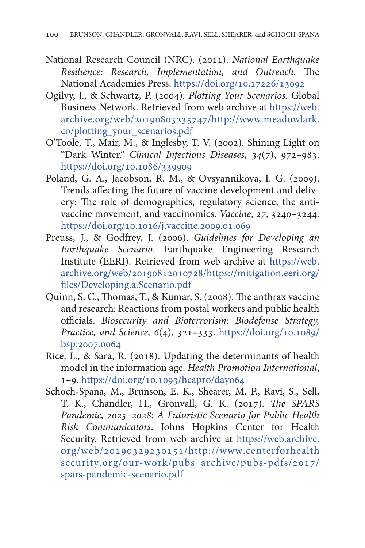- <span id="page-29-0"></span>National Research Council (NRC). (2011). *National Earthquake Resilience: Research, Implementation, and Outreach*. The National Academies Press. <https://doi.org/10.17226/13092>
- Ogilvy, J., & Schwartz, P. (2004). *Plotting Your Scenarios*. Global Business Network. Retrieved from web archive at [https://web.](https://web.archive.org/web/20190803235747/http://www.meadowlark.co/plotting_your_scenarios.pdf) [archive.org/web/20190803235747/http://www.meadowlark.](https://web.archive.org/web/20190803235747/http://www.meadowlark.co/plotting_your_scenarios.pdf) [co/plotting\\_your\\_scenarios.pdf](https://web.archive.org/web/20190803235747/http://www.meadowlark.co/plotting_your_scenarios.pdf)
- O'Toole, T., Mair, M., & Inglesby, T. V. (2002). Shining Light on "Dark Winter." *Clinical Infectious Diseases, 34*(7), 972–983. <https://doi.org/10.1086/339909>
- Poland, G. A., Jacobson, R. M., & Ovsyannikova, I. G. (2009). Trends affecting the future of vaccine development and delivery: The role of demographics, regulatory science, the antivaccine movement, and vaccinomics. *Vaccine*, *27*, 3240–3244. <https://doi.org/10.1016/j.vaccine.2009.01.069>
- Preuss, J., & Godfrey, J. (2006). *Guidelines for Developing an Earthquake Scenario*. Earthquake Engineering Research Institute (EERI). Retrieved from web archive at [https://web.](https://web.archive.org/web/20190812010728/https://mitigation.eeri.org/files/Developing.a.Scenario.pdf) [archive.org/web/20190812010728/https://mitigation.eeri.org/](https://web.archive.org/web/20190812010728/https://mitigation.eeri.org/files/Developing.a.Scenario.pdf) [files/Developing.a.Scenario.pdf](https://web.archive.org/web/20190812010728/https://mitigation.eeri.org/files/Developing.a.Scenario.pdf)
- Quinn, S. C., Thomas, T., & Kumar, S. (2008). The anthrax vaccine and research: Reactions from postal workers and public health officials. *Biosecurity and Bioterrorism: Biodefense Strategy, Practice, and Science, 6*(4), 321–333. [https://doi.org/10.1089/](https://doi.org/10.1089/bsp.2007.0064) [bsp.2007.0064](https://doi.org/10.1089/bsp.2007.0064)
- Rice, L., & Sara, R. (2018). Updating the determinants of health model in the information age. *Health Promotion International*, 1–9.<https://doi.org/10.1093/heapro/day064>
- Schoch-Spana, M., Brunson, E. K., Shearer, M. P., Ravi, S., Sell, T. K., Chandler, H., Gronvall, G. K. (2017). *The SPARS Pandemic, 2025–2028: A Futuristic Scenario for Public Health Risk Communicators*. Johns Hopkins Center for Health Security. Retrieved from web archive at [https://web.archive.](https://web.archive.org/web/20190329230151/http://www.centerforhealthsecurity.org/our-work/pubs_archive/pubs-pdfs/2017/spars-pandemic-scenario.pdf) [org/web/20190329230151/http://www.centerforhealth](https://web.archive.org/web/20190329230151/http://www.centerforhealthsecurity.org/our-work/pubs_archive/pubs-pdfs/2017/spars-pandemic-scenario.pdf) [security.org/our-work/pubs\\_archive/pubs-pdfs/2017/](https://web.archive.org/web/20190329230151/http://www.centerforhealthsecurity.org/our-work/pubs_archive/pubs-pdfs/2017/spars-pandemic-scenario.pdf) [spars-pandemic-scenario.pdf](https://web.archive.org/web/20190329230151/http://www.centerforhealthsecurity.org/our-work/pubs_archive/pubs-pdfs/2017/spars-pandemic-scenario.pdf)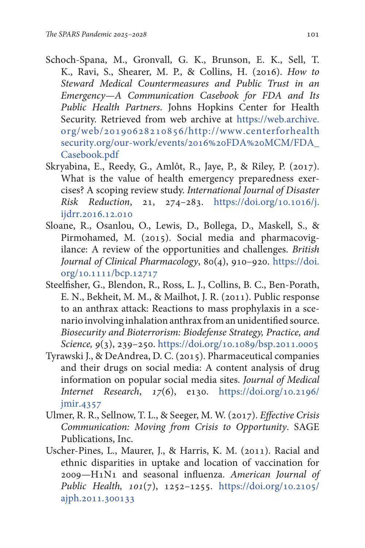- <span id="page-30-0"></span>Schoch-Spana, M., Gronvall, G. K., Brunson, E. K., Sell, T. K., Ravi, S., Shearer, M. P., & Collins, H. (2016). *How to Steward Medical Countermeasures and Public Trust in an Emergency—A Communication Casebook for FDA and Its Public Health Partners*. Johns Hopkins Center for Health Security. Retrieved from web archive at [https://web.archive.](https://web.archive.org/web/20190628210856/http://www.centerforhealthsecurity.org/our-work/events/2016%20FDA%20MCM/FDA_Casebook.pdf) [org/web/20190628210856/http://www.centerforhealth](https://web.archive.org/web/20190628210856/http://www.centerforhealthsecurity.org/our-work/events/2016%20FDA%20MCM/FDA_Casebook.pdf) [security.org/our-work/events/2016%20FDA%20MCM/FDA\\_](https://web.archive.org/web/20190628210856/http://www.centerforhealthsecurity.org/our-work/events/2016%20FDA%20MCM/FDA_Casebook.pdf) [Casebook.pdf](https://web.archive.org/web/20190628210856/http://www.centerforhealthsecurity.org/our-work/events/2016%20FDA%20MCM/FDA_Casebook.pdf)
- Skryabina, E., Reedy, G., Amlôt, R., Jaye, P., & Riley, P. (2017). What is the value of health emergency preparedness exercises? A scoping review study. *International Journal of Disaster Risk Reduction*, 21, 274–283. [https://doi.org/10.1016/j.](https://doi.org/10.1016/j.ijdrr.2016.12.010) [ijdrr.2016.12.010](https://doi.org/10.1016/j.ijdrr.2016.12.010)
- Sloane, R., Osanlou, O., Lewis, D., Bollega, D., Maskell, S., & Pirmohamed, M. (2015). Social media and pharmacovigilance: A review of the opportunities and challenges. *British Journal of Clinical Pharmacology*, 80(4), 910–920. [https://doi.](https://doi.org/10.1111/bcp.12717) [org/10.1111/bcp.12717](https://doi.org/10.1111/bcp.12717)
- Steelfisher, G., Blendon, R., Ross, L. J., Collins, B. C., Ben-Porath, E. N., Bekheit, M. M., & Mailhot, J. R. (2011). Public response to an anthrax attack: Reactions to mass prophylaxis in a scenario involving inhalation anthrax from an unidentified source. *Biosecurity and Bioterrorism: Biodefense Strategy, Practice, and Science, 9*(3), 239–250. [https://doi.org/10.1089/bsp.2011.0005](https://doi.org/10.1089/bsp.2011.0005 )
- Tyrawski J., & DeAndrea, D. C. (2015). Pharmaceutical companies and their drugs on social media: A content analysis of drug information on popular social media sites. *Journal of Medical Internet Research*, *17*(6), e130. [https://doi.org/10.2196/](https://doi.org/10.2196/jmir.4357) [jmir.4357](https://doi.org/10.2196/jmir.4357)
- Ulmer, R. R., Sellnow, T. L., & Seeger, M. W. (2017). *Effective Crisis Communication: Moving from Crisis to Opportunity*. SAGE Publications, Inc.
- Uscher-Pines, L., Maurer, J., & Harris, K. M. (2011). Racial and ethnic disparities in uptake and location of vaccination for 2009—H1N1 and seasonal influenza. *American Journal of Public Health, 101*(7), 1252–1255. [https://doi.org/10.2105/](https://doi.org/10.2105/ajph.2011.300133) [ajph.2011.300133](https://doi.org/10.2105/ajph.2011.300133)